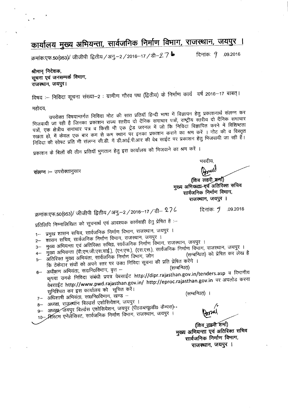## <mark>कार्यालय मुख्य अभियन्ता, सार्वजनिक निर्माण विभाग, राजस्थान, जयपुर ।</mark><br>क्रमांक:एफ.50(953)/ जीजीपी द्वितीय /अनु.–2 /2016–17 /डी–2 7 b त्रिनांक: *9 .*09.2016

श्रीमान निदेशक, **सूचना एवं जनसम्पर्क वि**माग, राजस्थान, जयपुर।

विषय :-- निविदा सूचना संख्या--2 : ग्रामीण गौरव पथ (द्वितीय) के निर्माण कार्य वर्ष 2016–17 बाबत्।

महोदय,

उपरोक्त विषयान्तर्गत निविदा नोट की सात प्रतियॉ हिन्दी भाषा में विज्ञापन हेतु प्रकाशनार्थ संलग्न कर भिजवायी जा रही है जिनका प्रकाशन राज्य रतरीय दो दैनिक समाचार पत्रों, राष्ट्रीय स्तरीय दो दैनिक समाचार पत्रों, एक क्षेत्रीय समाचार पत्र व किसी भी एक ट्रेड जरनल में जो कि निविदा विज्ञापित करने में विशिष्टता रखता हो, में केवल एक बार कम से कम स्थान पर इनका प्रकाशन कराने का श्रम करें । नोट की व विस्तृत निविदा की सोफ्ट प्रति भी संलग्न सी.डी. में डी.आई.पी.आर की वेब साईट पर प्रकाशन हेतु भिजवायी जा रही हैं।

प्रकाशन के बिलों की तीन प्रतियाँ भुगतान हेतु इस कार्यालय को भिजवाने का श्रम करें ।

संलग्न :- उपरोक्तानुसार

भवदीय. Brul

(शिव लहरी अर्मा) मुख्य अभियन्ता एवं अतिरिक्त सचिव सार्वजनिक निर्माण विमाग, राजस्थान, जयपुर ।

क्रमांक:एफ.50(953)/ जीजीपी द्वितीय / अनु.–2 / 2016–17 / डी–  $27$ ८  $\,$  ि दिनांक:  $\,\mathrm{J}$  .09.2016

प्रतिलिपि निम्नालिखित को सूचनार्थ एवं आवश्यक कार्यवाही हेतु प्रेषित हे :-

1-- प्रमुख शासन सचिव, सार्वजनिक निर्माण विभाग, राजंस्थान, जयपुर ।

- 2– शासन सचिव, सार्वजनिक निर्माण विभाग, राजस्थान, जयपुर ।
- 3– मुख्य अभियन्ता एवं अतिरिक्त सचिव्न, सार्वजनिक निर्माण विभाग, राजस्थान, जयपुर ।
- 4- मुख्य अभियन्ता (पी.एम.जी.एस.वाई.), (एन.एच.), (एस.एस.), सार्वजनिक निर्माण विभाग, राजस्थान, जयपुर ।<br>(सम्बन्धित) को प्रेषित कर लेख है
- 5- अतिरिक्त मुख्य अभियंता, सार्वजनिक निर्माण विभाग, जोन
- कि ठेकेदार संघों को अपने स्तर पर उक्त निविदा सूचना की प्रति प्रेषित करेंगे ।<br>अधीक्षण अभियंता, सा0नि0विभाग, वृत्त –
- 6- 3l~ ~r. wof.1o~. 'Tl (~) <sup>~</sup> <sup>~</sup> f.ifclGT -w.i~ m ~<l"t1I~C **http://dipr.rajasthan.gov.in/tenders.asp** <sup>q</sup> ~-ilrft<l dबसाईट http://www.pwd.rajasthan.gov.in/ http://eproc.rajasthan.gov.in पर अपलोड करना सुनिश्चित कर इस कार्यालय को सूचित करें।

 $7 -$  अधिशाषी अभियंता, सा0नि0विभाग, खण्ड -

(सम्बन्धित़) ।

(शिव लुइरी शर्मा) मुख्य अभियन्ता एवं अतिरिक्त सचिव सार्वजनिक निर्माण विभाग, राजस्थान, जयपुर ।

8— अध्यक्ष, राजस्र्थान बिल्डर्स एशोसियेशन, जयपुर ।<br>———————————————————— 9- अध्यक्ष, जयपुर बिल्डंस एशोसियेशन, जयपुर (पी0डब्ल्यूoडी0 कैम्पस)-10- सिस्टम एनेर्लेसिस्ट, सार्वजनिक निर्माण विभाग, राजस्थान, जयपुर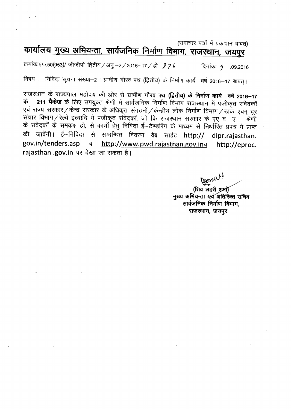(समाचार पत्रों में प्रकाशन बाबत)

## कार्यालय मुख्य अभियन्ता, सार्वजनिक निर्माण विभाग, राजस्थान, जयपुर

क्रमांकःएफ.50(953)/ जीजीपी द्वितीय / अनु.–2 / 2016–17 / डी– 2 7 ।  $\,$  - दिनांकः 9 $\,$  .09.2016

विषय :-- निविदा सूचना संख्या-2 : ग्रामीण गौरव पथ (द्वितीय) के निर्माण कार्य वर्ष 2016-17 बाबत् ।

ऱाजस्थान के राज्यपाल महोदय की ओर से **ग्रामीण गौरव पथ (द्वितीय) के निर्माण कार्य वर्ष 2016–17**<br>**के 211 पैकेज** के लिए उपयक्त श्रेणी में सार्वजनिक निर्माण विभाग राजस्थान में एंजीकून गंगेनकों **211 पैकेज** के लिए उपयुक्त श्रेणी में सार्वजनिक निर्माण विभाग राजस्थान में पंजीकृत संवेदकों एवं राज्य सरकार/केन्द्र सरकार के अधिकृत संगठनों/केन्द्रीय लोक निर्माण विभाग/डाक एवम् दूर<br>संचार विभाग/रेल्वे इत्यादि में पंजीकृत संवेदकों, जो कि राजस्थान सरकार के एए व ए , श्रेणी  $\frac{1}{2}$  .  $\frac{1}{2}$  .  $\frac{1}{2}$  ,  $\frac{1}{2}$  ,  $\frac{1}{2}$  ,  $\frac{1}{2}$  ,  $\frac{1}{2}$  ,  $\frac{1}{2}$  ,  $\frac{1}{2}$  ,  $\frac{1}{2}$  ,  $\frac{1}{2}$  ,  $\frac{1}{2}$  ,  $\frac{1}{2}$  ,  $\frac{1}{2}$  ,  $\frac{1}{2}$  ,  $\frac{1}{2}$  ,  $\frac{1}{2}$  ,  $\frac{1}{2}$  ,  $\frac{$ के संवेदकों के समकक्ष हो, से कार्यों हेतु निविदा ई–टेण्डरिंग के माध्यम से निर्धारित प्रपत्र में प्राप्त की जावेंगी। ई–निविदा से सम्बन्धित विवरण वेब साईट http:// dipr.rajasthan. **gov.in/tenders.asp if http://www.pwd.rajasthan.gov.inq http://eproc. rajasthan .gov.in** पर देखा जा सकता है।

Bonell

(शिव लहरी श्रमी) मुख्य अभियन्ता स्वं अतिरिक्त सचिव सार्वजनिक निर्माण विमाग, राजस्थान, जयपुर ।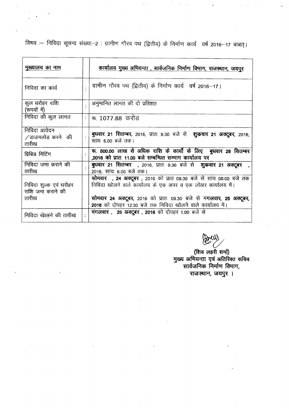विषय :– निविदा सूचना संख्या--2 : ग्रामीण गौरव पथ (द्वितीय) के निर्माण कार्य वर्ष 2016-17 बाबत्।

 $\mathcal{L}$ 

 $\sigma_{\rm{eff}}=2.5$ 

| मुख्यालय का नाम                                      | कार्यालय मुख्य अभियन्ता , सार्वजनिक निर्माण विभाग, राजस्थान, जयपुर                                                                                                                                                                                                             |
|------------------------------------------------------|--------------------------------------------------------------------------------------------------------------------------------------------------------------------------------------------------------------------------------------------------------------------------------|
| निविदा का कार्य                                      | ग्रामीण गौरव पथ (द्वितीय) के निर्माण कार्य वर्ष 2016-17।                                                                                                                                                                                                                       |
| कुल धरोहर राशि<br>(रूपयों में)                       | अनुमानित लागत की दो प्रतिशत                                                                                                                                                                                                                                                    |
| निविदा की कुल लागत                                   | रू. 1077.88 करोड                                                                                                                                                                                                                                                               |
| निविदा आवेदन<br>∕ डाउनलोड करने की<br>तारीख           | बुधवार 21 सितम्बर, 2016, प्रातः 9.30 बजे से शुकवार 21 अक्टूबर, 2016,<br>सांयः 6.00 बजे तक।                                                                                                                                                                                     |
| प्रिबिड मिटिंग                                       | रू. 500.00 लाख से अधिक राशि के कार्यों के लिए बुधवार 28 सितम्बर<br>,2016 को प्रातः 11.00 बजे सम्बन्धित सम्भाग कार्यालय पर                                                                                                                                                      |
| निविदा जमा कराने की<br>तारीख                         | <b>बुधवार 21 सितम्बर  ,</b> 2016, प्रातः 9.30 बजे से <b>शुक्रवार 21 अक्टूबर</b><br>2016, सांयः 6.00 बजे तक।                                                                                                                                                                    |
| निविदा शुल्क एवं धरोहर<br>राशि जमा कराने की<br>तारीख | <b>सोमवार , 24 अक्टूबर ,</b> 2016 को प्रात 09.30 बजे से सांय 06:00 बजे तक<br>निविदा खोलने वाले कार्यालय के एक अपर व एक लोअर कार्यालय में।<br>सोमवार 24 अक्टूबर, 2016 को प्रातः 09.30 बजे से मंगलवार, 25 अक्टूबर,<br>2016 को दोपहर 12:30 बजे तक निविदा खोलने वाले कार्यालय में। |
| निविदा खालने की तारीख                                | <b>मंगलवार, 25 अक्टूबर, 2016</b> को दोपहर 1.00 बजे से                                                                                                                                                                                                                          |

~

(शिव लहरी शमो) मुख्य आमयन्ता एव आतारक्त स सार्वजनिक निर्माण विभाग, राजस्थान, जयपुर ।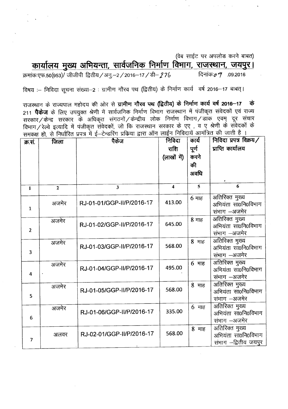(वेब साईट पर अपलोड करने बाबत)

cpl~fl'1~ ~ 31fSl~.-=t1I, **ttI4\i1P1Ct> PlJiful fal1lO1I,** '<I~, \i1~~'< **I**

~:~.50(953)/ 1J1"11J1"141~/31:.!.-2/2016-17 /~- .27& ~:"; .09.2016

विषय :– निविदा सूचना संख्या-2 : ग्रामीण गौरव पथ (द्वितीय) के निर्माण कार्य वर्ष 2016-17 बाबत्।

राजस्थान के राज्यपाल महोदय की ओर से **ग्रामीण गौरव पथ (द्वितीय) के निर्माण कार्य वर्ष 2016-17 के** 211 **पैकेज** के लिए उपयुक्त श्रेणी में सार्वजनिक निर्माण विभाग राजस्थान में पंजीकृत संवेदकों एवं राज्य सरकार/केन्द्र सरकार के अधिकृत संगठनों/केन्द्रीय लोक निर्माण विभाग/डांक एवम् दूर संचार विभाग / रेल्वे इत्यादि में पंजीकृत संवेदकों, जो कि राजस्थान सरकार के एए , व ए श्रेणी के संवेदकों के ~Iff <sup>51</sup> <sup>~</sup> <sup>~</sup> m -B ~-~ ...\SRJI <sup>~</sup> &RT 31FT <sup>~</sup> PlFclC\I~ 3l1JOi8id <sup>~</sup> \i'flCfr t <sup>I</sup> ,

| क्र.सं.                 | जिला         | पैकेज                     | निविदा<br>राशि<br>(लाखों में) | कार्य<br>पूर्ण<br>करने<br>की<br>अवधि | निविदा प्रपत्र विक्रय/<br>प्राप्ति कार्यालय                   |
|-------------------------|--------------|---------------------------|-------------------------------|--------------------------------------|---------------------------------------------------------------|
| $\mathbf{1}$            | $\mathbf{2}$ | $\overline{\mathbf{3}}$   | $\blacktriangleleft$          | $\overline{\mathbf{5}}$              | 6                                                             |
| $\mathbf{1}$            | अजमेर        | RJ-01-01/GGP-II/P/2016-17 | 413.00                        | $6$ माह                              | अतिरिक्त मुख्य<br>अभियंता सा0नि0विभाग<br>संभाग –अजमेर         |
| $\overline{2}$          | अजमेर        | RJ-01-02/GGP-II/P/2016-17 | 645.00                        | 8 माह                                | अतिरिक्त मुख्य<br>अभियंता सा0नि0विभाग<br>संभाग –अजमेर         |
| $\overline{\mathbf{3}}$ | अजमेर        | RJ-01-03/GGP-II/P/2016-17 | 568.00                        | 8 माह                                | अतिरिक्त मुख्य<br>अभियंता सा0नि0विभाग<br>संभाग –अजमेर         |
| $\blacktriangleleft$    | अजमेर        | RJ-01-04/GGP-II/P/2016-17 | 495.00                        | $6$ माह                              | अतिरिक्त मुख्य<br>अभियंता सा0नि0विभाग<br>संभाग –अजमेर         |
| 5                       | अजमेर        | RJ-01-05/GGP-II/P/2016-17 | 568.00                        | 8 माह                                | अतिरिक्त मुख्य<br>अभियंता सा0नि0विभाग<br>संभाग -अजमेर         |
| 6                       | अजमेर        | RJ-01-06/GGP-II/P/2016-17 | 335.00                        | 6 माह                                | अतिरिक्त मुख्य<br>अभियंता सा0नि0विभाग<br>संभाग -अजमेर         |
| $\overline{7}$          | अलवर         | RJ-02-01/GGP-II/P/2016-17 | 568.00                        | 8 माह                                | अतिरिक्त मुख्य<br>अभियंता सा0नि0विभाग<br>संभाग –द्वितीय जयपुर |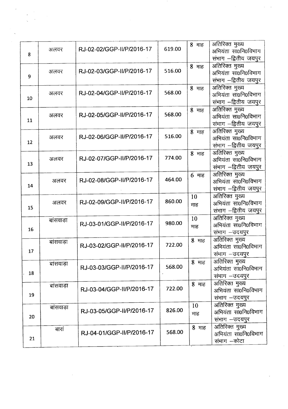| 8  | अलवर      | RJ-02-02/GGP-II/P/2016-17 | 619.00 | 8 माह     | अतिरिक्त मुख्य<br>अभियंता सा0नि0विभाग<br>संभाग –द्वितीय जयपुर  |
|----|-----------|---------------------------|--------|-----------|----------------------------------------------------------------|
| 9  | अलवर      | RJ-02-03/GGP-II/P/2016-17 | 516.00 | 8 माह     | अतिरिक्त मुख्य<br>अभियंता सा0नि0विभाग<br>संभाग –द्वितीय जयपुर  |
| 10 | अलवर      | RJ-02-04/GGP-II/P/2016-17 | 568.00 | 8 माह     | अतिरिक्त मुख्य<br>अभियंता सा0नि0विभाग<br>संभाग --द्वितीय जयपुर |
| 11 | अलवर      | RJ-02-05/GGP-II/P/2016-17 | 568.00 | 8 माह     | अतिरिक्त मुख्य<br>अभियंता सा0नि0विभाग<br>संभाग –द्वितीय जयपुर  |
| 12 | अलवर      | RJ-02-06/GGP-II/P/2016-17 | 516.00 | 8 माह     | अतिरिक्त मुख्य<br>अभियंता सा0नि0विभाग<br>संभाग -द्वितीय जयपुर  |
| 13 | अलवर      | RJ-02-07/GGP-II/P/2016-17 | 774.00 | 8 माह     | अतिरिक्त मुख्य<br>अभियंता सा0नि0विभाग<br>संभाग --द्वितीय जयपुर |
| 14 | अलवर      | RJ-02-08/GGP-II/P/2016-17 | 464.00 | $6$ माह   | अतिरिक्त मुख्य<br>अभियंता सा0नि0विभाग<br>संभाग –द्वितीय जयपुर  |
| 15 | अलवर      | RJ-02-09/GGP-II/P/2016-17 | 860.00 | 10<br>माह | अतिरिक्त मुख्य<br>अभियंता सा0नि0विभाग<br>संभाग –द्वितीय जयपुर  |
| 16 | बांसवाड़ा | RJ-03-01/GGP-II/P/2016-17 | 980.00 | 10<br>माह | अतिरिक्त मुख्य<br>अभियंता सा0नि0विभाग<br>संभाग –उदयपुर         |
| 17 | बांसवाड़ा | RJ-03-02/GGP-II/P/2016-17 | 722.00 | 8 माह     | अतिरिक्त मुख्य<br>अभियंता सा0नि0विभाग<br>संभाग - उदयपुर        |
| 18 | बांसवाड़ा | RJ-03-03/GGP-II/P/2016-17 | 568.00 | 8 माह     | अतिरिक्त मुख्य<br>अभियंता सा0नि0विभाग<br>संभाग -उदयपुर         |
| 19 | बांसवाड़ा | RJ-03-04/GGP-II/P/2016-17 | 722.00 | 8 माह     | अतिरिक्त मुख्य<br>अभियंता सा0नि0विभाग<br>संभाग -उदयपुर         |
| 20 | बांसवाड़ा | RJ-03-05/GGP-II/P/2016-17 | 826.00 | 10<br>माह | अतिरिक्त मुख्य<br>अभियंता सा0नि0विभाग<br>संभाग - उदयपुर        |
| 21 | बारां     | RJ-04-01/GGP-II/P/2016-17 | 568.00 | 8 माह     | अतिरिक्त मुख्य<br>अभियंता सा0नि0विभाग<br>संभाग –कोटा           |

 $\mathcal{L}^{\text{max}}_{\text{max}}$ 

 $\hat{\mathcal{C}}$ 

 $\hat{\mathcal{S}}_{\text{eff}}$ 

 $\label{eq:2.1} \frac{1}{\sqrt{2}}\int_{\mathbb{R}^3}\frac{1}{\sqrt{2}}\left(\frac{1}{\sqrt{2}}\right)^2\frac{1}{\sqrt{2}}\left(\frac{1}{\sqrt{2}}\right)^2\frac{1}{\sqrt{2}}\left(\frac{1}{\sqrt{2}}\right)^2\frac{1}{\sqrt{2}}\left(\frac{1}{\sqrt{2}}\right)^2.$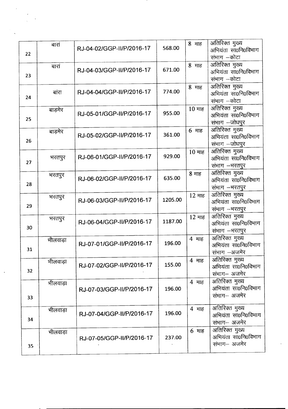| 22 | बारां    | RJ-04-02/GGP-II/P/2016-17 | 568.00  | 8 माह   | अतिरिक्त मुख्य<br>अभियंता सा0नि0विभाग<br>संभाग –कोटा   |
|----|----------|---------------------------|---------|---------|--------------------------------------------------------|
| 23 | बारां    | RJ-04-03/GGP-II/P/2016-17 | 671.00  | 8 माह   | अतिरिक्त मुख्य<br>अभियंता सा0नि0विभाग<br>संभाग –कोटा   |
| 24 | बांरा    | RJ-04-04/GGP-II/P/2016-17 | 774.00  | 8 माह   | अतिरिक्त मुख्य<br>अभियंता सा0नि0विभाग<br>संभाग –कोटा   |
| 25 | बाड़मेर  | RJ-05-01/GGP-II/P/2016-17 | 955.00  | 10 माह  | अतिरिक्त मुख्य<br>अभियंता सा0नि0विभाग<br>संभाग —जोधपुर |
| 26 | बाड़मेर  | RJ-05-02/GGP-II/P/2016-17 | 361.00  | 6 माह   | अतिरिक्त मुख्य<br>अभियंता सा0नि0विभाग<br>संभाग -जोधपुर |
| 27 | भरतपुर   | RJ-06-01/GGP-II/P/2016-17 | 929.00  | 10 माह  | अतिरिक्त मुख्य<br>अभियंता सा0नि0विभाग<br>संभाग –भरतपुर |
| 28 | भरतपुर   | RJ-06-02/GGP-II/P/2016-17 | 635.00  | 8 माह   | अतिरिक्त मुख्य<br>अभियंता सा0नि0विभाग<br>संभाग –भरतपुर |
| 29 | भरतपुर   | RJ-06-03/GGP-II/P/2016-17 | 1205.00 | 12 माह  | अतिरिक्त मुख्य<br>अभियंता सा0नि0विभाग<br>संभाग -भरतपुर |
| 30 | भरतपुर   | RJ-06-04/GGP-II/P/2016-17 | 1187.00 | 12 माह  | अतिरिक्त मुख्य<br>अभियंता सा0नि0विभाग<br>संभाग -भरतपुर |
| 31 | भीलवाड़ा | RJ-07-01/GGP-II/P/2016-17 | 196.00  | 4 माह   | अतिरिक्त मुख्य<br>अभियंता सा0नि0विभाग<br>संभाग –अजमेर  |
| 32 | भीलवाड़ा | RJ-07-02/GGP-II/P/2016-17 | 155.00  | 4 माह   | अतिरिक्त मुख्य<br>अभियंता सा0नि0विभाग<br>संभाग– अजमेर  |
| 33 | भीलवाड़ा | RJ-07-03/GGP-II/P/2016-17 | 196.00  | 4 माह   | अतिरिक्त मुख्य<br>अभियंता सा0नि0विभाग<br>संभाग– अजमेर  |
| 34 | भीलवाड़ा | RJ-07-04/GGP-II/P/2016-17 | 196.00  | 4 माह   | अतिरिक्त मुख्य<br>अभियंता सा0नि0विभाग<br>संभाग– अजमेर  |
| 35 | भीलवाड़ा | RJ-07-05/GGP-II/P/2016-17 | 237.00  | $6$ माह | अतिरिक्त मुख्य<br>अभियंता सा0नि0विभाग<br>संभाग– अजमेर  |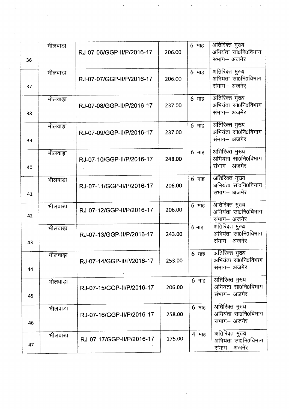|    | भीलवाड़ा |                           |        | $6$ माह | अतिरिक्त मुख्य                        |
|----|----------|---------------------------|--------|---------|---------------------------------------|
|    |          | RJ-07-06/GGP-II/P/2016-17 | 206.00 |         | अभियंता सा0नि0विभाग                   |
| 36 |          |                           |        |         | संभाग- अजमेर                          |
|    | भीलवाड़ा |                           |        | 6 माह   | अतिरिक्त मुख्य                        |
|    |          | RJ-07-07/GGP-II/P/2016-17 | 206.00 |         | अभियंता सा0नि0विभाग                   |
| 37 |          |                           |        |         | संभाग– अजमेर                          |
|    |          |                           |        |         |                                       |
|    | भीलवाड़ा |                           |        | $6$ माह | अतिरिक्त मुख्य                        |
|    |          | RJ-07-08/GGP-II/P/2016-17 | 237.00 |         | अभियंता सा0नि0विभाग                   |
| 38 |          |                           |        |         | संभाग– अजमेर                          |
|    | भीलवाड़ा |                           |        | 6 माह   | अतिरिक्त मुख्य                        |
|    |          | RJ-07-09/GGP-II/P/2016-17 | 237.00 |         | अभियंता सा0नि0विभाग                   |
| 39 |          |                           |        |         | संभाग– अजमेर                          |
|    |          |                           |        |         |                                       |
|    | भीलवाड़ा |                           | 248.00 | $6$ माह | अतिरिक्त मुख्य<br>अभियंता सा0नि0विभाग |
|    |          | RJ-07-10/GGP-II/P/2016-17 |        |         | संभाग– अजमेर                          |
| 40 |          |                           |        |         |                                       |
|    | भीलवाड़ा |                           |        | $6$ माह | अतिरिक्त मुख्य                        |
|    |          | RJ-07-11/GGP-II/P/2016-17 | 206.00 |         | अभियंता सा0नि0विभाग                   |
| 41 |          |                           |        |         | संभाग– अजमेर                          |
|    | भीलवाड़ा |                           |        | 6 माह   | अतिरिक्त मुख्य                        |
|    |          | RJ-07-12/GGP-II/P/2016-17 | 206.00 |         | अभियंता सा0नि0विभाग                   |
| 42 |          |                           |        |         | संभाग– अजमेर                          |
|    | भीलवाड़ा |                           |        | $6$ माह | अतिरिक्त मुख्य                        |
|    |          | RJ-07-13/GGP-II/P/2016-17 | 243.00 |         | अभियंता सा0नि0विभाग                   |
| 43 |          |                           |        |         | संभाग- अजमेर                          |
|    | भीलवाड़ा |                           |        | $6$ माह | अतिरिक्त मुख्य                        |
|    |          | RJ-07-14/GGP-II/P/2016-17 | 253.00 |         | अभियंता सा0नि0विभाग                   |
| 44 |          |                           |        |         | संभाग— अजमेर                          |
|    |          |                           |        |         |                                       |
|    | भीलवाड़ा |                           | 206.00 | $6$ माह | अतिरिक्त मुख्य<br>अभियंता सा0नि0विभाग |
|    |          | RJ-07-15/GGP-II/P/2016-17 |        |         | संभाग– अजमेर                          |
| 45 |          |                           |        |         |                                       |
|    | भीलवाड़ा |                           |        | $6$ माह | अतिरिक्त मुख्य                        |
|    |          | RJ-07-16/GGP-II/P/2016-17 | 258.00 |         | अभियंता सा0नि0विभाग                   |
| 46 |          |                           |        |         | संभाग– अजमेर                          |
|    |          |                           |        | 4 माह   | अतिरिक्त मुख्य                        |
|    | भीलवाड़ा | RJ-07-17/GGP-II/P/2016-17 | 175.00 |         | अभियंता सा0नि0विभाग                   |
| 47 |          |                           |        |         | संभाग– अजमेर                          |

 $\sim 10^7$ 

. The second constraints of the second constraint  $\mathcal{L}_\text{c}$  , where  $\mathcal{L}_\text{c}$  is a second constraint of the second constraints of the second constraints of the second constraints of the second constraints of the s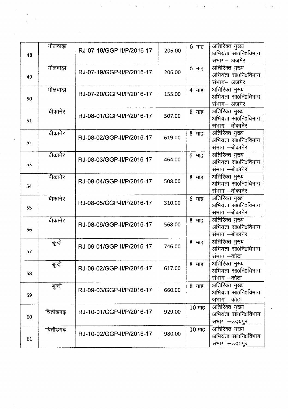| 48 | मीलवाड़ा | RJ-07-18/GGP-II/P/2016-17 | 206.00 | $6$ माह | अतिरिक्त मुख्य<br>अभियंता सा0नि0विभाग<br>संभाग- अजमेर   |
|----|----------|---------------------------|--------|---------|---------------------------------------------------------|
| 49 | भीलवाड़ा | RJ-07-19/GGP-II/P/2016-17 | 206.00 | $6$ माह | अतिरिक्त मुख्य<br>अभियंता सा0नि0विभाग<br>संभाग– अजमेर   |
| 50 | भीलवाड़ा | RJ-07-20/GGP-II/P/2016-17 | 155.00 | 4 माह   | अतिरिक्त मुख्य<br>अभियंता सा0नि0विभाग<br>संभाग- अजमेर   |
| 51 | बीकानेर  | RJ-08-01/GGP-II/P/2016-17 | 507.00 | 8 माह   | अतिरिक्त मुख्य<br>अभियंता सा0नि0विभाग<br>संभाग –बीकानेर |
| 52 | बीकानेर  | RJ-08-02/GGP-II/P/2016-17 | 619.00 | 8 माह   | अतिरिक्त मुख्य<br>अभियंता सा0नि0विभाग<br>संभाग –बीकानेर |
| 53 | बीकानेर  | RJ-08-03/GGP-II/P/2016-17 | 464.00 | $6$ माह | अतिरिक्त मुख्य<br>अभियंता सा0नि0विभाग<br>संभाग —बीकानेर |
| 54 | बीकानेर  | RJ-08-04/GGP-II/P/2016-17 | 508.00 | 8 माह   | अतिरिक्त मुख्य<br>अभियंता सा0नि0विभाग<br>संभाग –बीकानेर |
| 55 | बीकानेर  | RJ-08-05/GGP-II/P/2016-17 | 310.00 | $6$ माह | अतिरिक्त मुख्य<br>अभियंता सा0नि0विभाग<br>संभाग –बीकानेर |
| 56 | बीकानेर  | RJ-08-06/GGP-II/P/2016-17 | 568.00 | 8 माह   | अतिरिक्त मुख्य<br>अभियंता सा0नि0विभाग<br>संभाग –बीकानेर |
| 57 | बून्दी   | RJ-09-01/GGP-II/P/2016-17 | 746.00 | 8 माह   | अतिरिक्त मुख्य<br>अभियंता सा0नि0विभाग<br>संभाग –कोटा    |
| 58 | बून्दी   | RJ-09-02/GGP-II/P/2016-17 | 617.00 | 8 माह   | अतिरिक्त मुख्य<br>अभियंता सा0नि0विभाग<br>संभाग –कोटा    |
| 59 | बून्दी   | RJ-09-03/GGP-II/P/2016-17 | 660.00 | 8 माह   | अतिरिक्त मुख्य<br>अभियंता सा0नि0विभाग<br>संभाग –कोटा    |
| 60 | चितौडगढ़ | RJ-10-01/GGP-II/P/2016-17 | 929.00 | 10 माह  | अतिरिक्त मुख्य<br>अभियंता सा0नि0विभाग<br>संभाग -उदयपुर  |
| 61 | चितौडगढ़ | RJ-10-02/GGP-II/P/2016-17 | 980.00 | 10 माह  | अतिरिक्त मुख्य<br>अभियंता सा0नि0विभाग<br>संभाग –उदयपुर  |

 $\mathcal{L}_{\mathcal{A}}$ 

 $\label{eq:2.1} \mathcal{L}(\mathcal{L}^{\text{max}}_{\mathcal{L}}(\mathcal{L}^{\text{max}}_{\mathcal{L}}))\leq \mathcal{L}(\mathcal{L}^{\text{max}}_{\mathcal{L}}(\mathcal{L}^{\text{max}}_{\mathcal{L}}))$ 

 $\frac{1}{\sqrt{2}}$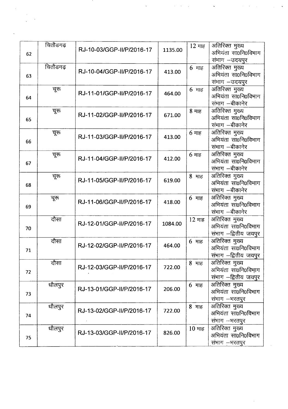| 62 | चितौडगढ़ | RJ-10-03/GGP-II/P/2016-17 | 1135.00 | 12 माह                       | अतिरिक्त मुख्य<br>अभियंता सा0नि0विभाग<br>संभाग -उदयपुर        |
|----|----------|---------------------------|---------|------------------------------|---------------------------------------------------------------|
| 63 | चितौडगढ़ | RJ-10-04/GGP-II/P/2016-17 | 413.00  | $6$ माह                      | अतिरिक्त मुख्य<br>अभियंता सा0नि0विभाग<br>संभाग –उदयपुर        |
| 64 | चूरु     | RJ-11-01/GGP-II/P/2016-17 | 464.00  | $6$ माह                      | अतिरिक्त मुख्य<br>अभियंता सा0नि0विभाग<br>संभाग –बीकानेर       |
| 65 | चूरू     | RJ-11-02/GGP-II/P/2016-17 | 671.00  | $8$ माह                      | अतिरिक्त मुख्य<br>अभियंता सा0नि0विभाग<br>संभाग –बीकानेर       |
| 66 | चूरू     | RJ-11-03/GGP-II/P/2016-17 | 413.00  | $6 \text{ m}$ ह              | अतिरिक्त मुख्य<br>अभियंता सा0नि0विभाग<br>संभाग –बीकानेर       |
| 67 | चूरू     | RJ-11-04/GGP-II/P/2016-17 | 412.00  | $6$ माह                      | अतिरिक्त मुख्य<br>अभियंता सा0नि0विभाग<br>संभाग –बीकानेर       |
| 68 | चूरू     | RJ-11-05/GGP-II/P/2016-17 | 619.00  | 8 माह                        | अतिरिक्त मुख्य<br>अभियंता सा0नि0विभाग<br>संभाग –बीकानेर       |
| 69 | चूरु     | RJ-11-06/GGP-II/P/2016-17 | 418.00  | $6 \text{ }\overline{7}$ माह | अतिरिक्त मुख्य<br>अभियंता सा0नि0विभाग<br>संभाग –बीकानेर       |
| 70 | दौसा     | RJ-12-01/GGP-II/P/2016-17 | 1084.00 | 12 माह                       | अतिरिक्त मुख्य<br>अभियंता सा0नि0विभाग<br>संभाग –द्वितीय जयपुर |
| 71 | दौसा     | RJ-12-02/GGP-II/P/2016-17 | 464.00  | $6$ माह                      | अतिरिक्त मुख्य<br>अभियंता सा0नि0विभाग<br>संभाग –द्वितीय जयपुर |
| 72 | दौसा     | RJ-12-03/GGP-II/P/2016-17 | 722.00  | 8 माह                        | अतिरिक्त मुख्य<br>अभियंता सा0नि0विभाग<br>संभाग -द्वितीय जयपुर |
| 73 | धौलपुर   | RJ-13-01/GGP-II/P/2016-17 | 206.00  | $6$ माह                      | अतिरिक्त मुख्य<br>अभियंता सा0नि0विभाग<br>संभाग -भरतपुर        |
| 74 | धौलपुर   | RJ-13-02/GGP-II/P/2016-17 | 722.00  | 8 माह                        | अतिरिक्त मुख्य<br>अभियंता सा0नि0विभाग<br>संभाग --भरतपुर       |
| 75 | धौलपुर   | RJ-13-03/GGP-II/P/2016-17 | 826.00  | $10 \text{ }\text{H}$ ह      | अतिरिक्त मुख्य<br>अभियंता सा0नि0विभाग<br>संभाग —भरतपुर        |

 $\mathcal{L}(\mathbf{x})$  and the second contribution  $\mathbf{x}$  . The second contribution of  $\mathbf{x}$ 

an S

 $\mathcal{L}_{\text{max}}$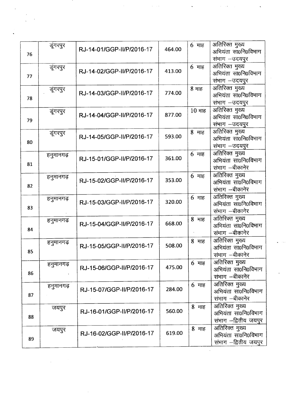| 76 | डूंगरपुर  | RJ-14-01/GGP-II/P/2016-17 | 464.00 | $6$ माह | अतिरिक्त मुख्य<br>अभियंता सा0नि0विभाग |
|----|-----------|---------------------------|--------|---------|---------------------------------------|
|    |           |                           |        |         | संभाग - उदयपुर                        |
|    | डूंगरपुर  | RJ-14-02/GGP-II/P/2016-17 | 413.00 | $6$ माह | अतिरिक्त मुख्य                        |
| 77 |           |                           |        |         | अभियंता सा0नि0विभाग                   |
|    |           |                           |        |         | संभाग –उदयपुर                         |
|    | डूंगरपुर  |                           |        | 8 माह   | अतिरिक्त मुख्य                        |
| 78 |           | RJ-14-03/GGP-II/P/2016-17 | 774.00 |         | अभियंता सा0नि0विभाग                   |
|    |           |                           |        |         | संभाग –उदयपुर                         |
|    | डूंगरपुर  |                           |        | 10 माह  | अतिरिक्त मुख्य                        |
| 79 |           | RJ-14-04/GGP-II/P/2016-17 | 877.00 |         | अभियंता सा0नि0विभाग                   |
|    |           |                           |        |         | संभाग -उदयपुर                         |
|    | डूंगरपुर  |                           |        | 8 माह   | अतिरिक्त मुख्य                        |
| 80 |           | RJ-14-05/GGP-II/P/2016-17 | 593.00 |         | अभियंता सा0नि0विभाग                   |
|    |           |                           |        |         | संभाग -उदयपुर                         |
|    | हनुमानगढ़ |                           |        | $6$ माह | अतिरिक्त मुख्य                        |
|    |           | RJ-15-01/GGP-II/P/2016-17 | 361.00 |         | अभियंता सा0नि0विभाग                   |
| 81 |           |                           |        |         | संभाग –बीकानेर                        |
|    | हनुमानगढ़ |                           |        | 6 माह   | अतिरिक्त मुख्य                        |
|    |           | RJ-15-02/GGP-II/P/2016-17 | 353.00 |         | अभियंता सा0नि0विभाग                   |
| 82 |           |                           |        |         | संभाग —बीकानेर                        |
|    | हनुमानगढ़ |                           |        | 6 माह   | अतिरिक्त मुख्य                        |
|    |           | RJ-15-03/GGP-II/P/2016-17 | 320.00 |         | अभियंता सा0नि0विभाग                   |
| 83 |           |                           |        |         | संभाग —बीकानेर                        |
|    | हनुमानगढ़ |                           |        | 8 माह   | अतिरिक्त मुख्य                        |
|    |           | RJ-15-04/GGP-II/P/2016-17 | 668.00 |         | अभियंता सा0नि0विभाग                   |
| 84 |           |                           |        |         | संभाग —बीकानेर                        |
|    | हनुमानगढ़ |                           |        | 8 माह   | अतिरिक्त मुख्य                        |
|    |           | RJ-15-05/GGP-II/P/2016-17 | 508.00 |         | अभियंता सा0नि0विभाग                   |
| 85 |           |                           |        |         | संभाग –बीकानेर                        |
|    | हनुमानगढ़ |                           |        | $6$ माह | अतिरिक्त मुख्य                        |
|    |           | RJ-15-06/GGP-II/P/2016-17 | 475.00 |         | अभियंता सा0नि0विभाग                   |
| 86 |           |                           |        |         | संभाग –बीकानेर                        |
|    | हनुमानगढ़ |                           |        | $6$ माह | अतिरिक्त मुख्य                        |
|    |           | RJ-15-07/GGP-II/P/2016-17 | 284.00 |         | अभियंता सा0नि0विभाग                   |
| 87 |           |                           |        |         | संभाग —बीकानेर                        |
|    | जयपुर     |                           |        | 8 माह   | अतिरिक्त मुख्य                        |
|    |           | RJ-16-01/GGP-II/P/2016-17 | 560.00 |         | अभियंता सा0नि0विभाग                   |
| 88 |           |                           |        |         | संभाग -द्वितीय जयपुर                  |
|    |           |                           |        | 8 माह   | अतिरिक्त मुख्य                        |
|    | जयपुर     | RJ-16-02/GGP-II/P/2016-17 | 619.00 |         | अभियंता सा0नि0विभाग                   |
| 89 |           |                           |        |         | संभाग —द्वितीय जयपुर                  |
|    |           |                           |        |         |                                       |

 $\label{eq:2.1} \mathcal{L}(\mathcal{L}^{\text{max}}_{\text{max}}(\mathcal{L}^{\text{max}}_{\text{max}}(\mathcal{L}^{\text{max}}_{\text{max}}(\mathcal{L}^{\text{max}}_{\text{max}})))$ 

 $\bar{\epsilon}$ 

 $\frac{1}{\sqrt{2}}$  $\hat{\mathcal{A}}$ 

 $\label{eq:2.1} \frac{1}{\sqrt{2\pi}}\left(\frac{1}{\sqrt{2\pi}}\right)^{1/2}\frac{1}{\sqrt{2\pi}}\left(\frac{1}{\sqrt{2\pi}}\right)^{1/2}\frac{1}{\sqrt{2\pi}}\,.$ 

 $\frac{1}{2} \frac{1}{2} \frac{1}{2} \frac{1}{2}$ 

 $\label{eq:1} \frac{1}{\sqrt{2}}\sum_{i=1}^n\frac{1}{\sqrt{2}}\left(\frac{1}{\sqrt{2}}\sum_{i=1}^n\frac{1}{\sqrt{2}}\sum_{i=1}^n\frac{1}{\sqrt{2}}\sum_{i=1}^n\frac{1}{\sqrt{2}}\sum_{i=1}^n\frac{1}{\sqrt{2}}\sum_{i=1}^n\frac{1}{\sqrt{2}}\sum_{i=1}^n\frac{1}{\sqrt{2}}\sum_{i=1}^n\frac{1}{\sqrt{2}}\sum_{i=1}^n\frac{1}{\sqrt{2}}\sum_{i=1}^n\frac{1}{\sqrt{2}}\$ 

 $\hat{A}^{\dagger}$ 

 $\ddot{\phantom{0}}$ 

 $\hat{\mathcal{A}}$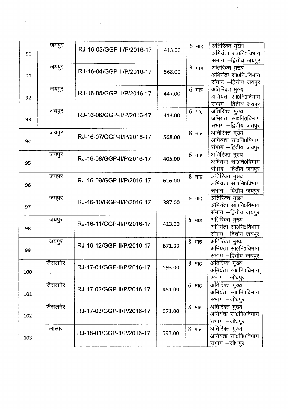| 90  | जयपुर   | RJ-16-03/GGP-II/P/2016-17 | 413.00 | $6$ माह                  | अतिरिक्त मुख्य<br>अभियंता सा0नि0विभाग |
|-----|---------|---------------------------|--------|--------------------------|---------------------------------------|
|     |         |                           |        |                          | संभाग -द्वितीय जयपुर                  |
|     | जयपुर   | RJ-16-04/GGP-II/P/2016-17 |        | 8 माह                    | अतिरिक्त मुख्य                        |
| 91  |         |                           | 568.00 |                          | अभियंता सा0नि0विभाग                   |
|     |         |                           |        |                          | संभाग –द्वितीय जयपुर                  |
|     | जयपुर   |                           |        | 6 माह                    | अतिरिक्त मुख्य                        |
| 92  |         | RJ-16-05/GGP-II/P/2016-17 | 447.00 |                          | अभियंता सा0नि0विभाग                   |
|     |         |                           |        |                          | संभाग -द्वितीय जयपुर                  |
|     | जयपुर   |                           |        | $6$ माह                  | अतिरिक्त मुख्य                        |
| 93  |         | RJ-16-06/GGP-II/P/2016-17 | 413.00 |                          | अभियंता सा0नि0विभाग                   |
|     |         |                           |        |                          | संभाग —द्वितीय जयपुर                  |
|     | जयपुर   |                           |        | 8 माह                    | अतिरिक्त मुख्य                        |
| 94  |         | RJ-16-07/GGP-II/P/2016-17 | 568.00 |                          | अभियंता सा0नि0विभाग                   |
|     |         |                           |        |                          | संभाग -द्वितीय जयपुर                  |
|     | जयपुर   |                           |        | 6 माह                    | <u>जतिरिक्त</u> मुख्य                 |
| 95  |         | RJ-16-08/GGP-II/P/2016-17 | 405.00 |                          | अभियंता सा0नि0विभाग                   |
|     |         |                           |        |                          | संभाग -द्वितीय जयपुर                  |
|     | जयपुर   |                           |        | 8 माह                    | अतिरिक्त मुख्य                        |
| 96  |         | RJ-16-09/GGP-II/P/2016-17 | 616.00 |                          | अभियंता सा0नि0विभाग                   |
|     |         |                           |        |                          | संभाग -द्वितीय जयपुर                  |
|     | जयपुर   |                           |        | $6 \text{ }\overline{4}$ | अतिरिक्त मुख्य                        |
|     |         | RJ-16-10/GGP-II/P/2016-17 | 387.00 |                          | अभियंता सा0नि0विभाग                   |
| 97  |         |                           |        |                          | संभाग -द्वितीय जयपुर                  |
|     | जयपुर   |                           |        | $6$ माह                  | अतिरिक्त मुख्य                        |
|     |         | RJ-16-11/GGP-II/P/2016-17 | 413.00 |                          | अभियंता सा0नि0विभाग                   |
| 98  |         |                           |        |                          | संभाग –द्वितीय जयपुर                  |
|     | जयपुर   |                           |        | 8 माह                    | अतिरिक्त मुख्य                        |
|     |         | RJ-16-12/GGP-II/P/2016-17 | 671.00 |                          | अभियंता सा0नि0विभाग                   |
| 99  |         |                           |        |                          | संभाग --द्वितीय जयपुर                 |
|     | जैसलमेर |                           |        | 8 माह                    | अतिरिक्त मुख्य                        |
|     |         | RJ-17-01/GGP-II/P/2016-17 | 593.00 |                          | अभियंता सा0नि0विभाग                   |
| 100 |         |                           |        |                          | संभाग –जोधपुर                         |
|     | जैसलमेर |                           |        |                          | अतिरिक्त मुख्य                        |
|     |         | RJ-17-02/GGP-II/P/2016-17 | 451.00 | $6$ माह                  | अभियंता सा0नि0विभाग                   |
| 101 |         |                           |        |                          | संभाग -जोधपुर                         |
|     | जैसलमेर |                           |        |                          |                                       |
|     |         | RJ-17-03/GGP-II/P/2016-17 | 671.00 | 8 माह                    | अतिरिक्त मुख्य<br>अभियंता सा0नि0विभाग |
| 102 |         |                           |        |                          |                                       |
|     |         |                           |        |                          | संभाग -जोधपुर                         |
|     | जालोर   | RJ-18-01/GGP-II/P/2016-17 | 593.00 | 8 माह                    | अतिरिक्त मुख्य                        |
| 103 |         |                           |        |                          | अभियंता सा0नि0विभाग                   |
|     |         |                           |        |                          | संभाग -जोधपुर                         |

 $\label{eq:2.1} \frac{1}{2} \sum_{i=1}^n \frac{1}{2} \sum_{j=1}^n \frac{1}{2} \sum_{j=1}^n \frac{1}{2} \sum_{j=1}^n \frac{1}{2} \sum_{j=1}^n \frac{1}{2} \sum_{j=1}^n \frac{1}{2} \sum_{j=1}^n \frac{1}{2} \sum_{j=1}^n \frac{1}{2} \sum_{j=1}^n \frac{1}{2} \sum_{j=1}^n \frac{1}{2} \sum_{j=1}^n \frac{1}{2} \sum_{j=1}^n \frac{1}{2} \sum_{j=1}^n \frac{$ 

 $\mathbf{v} = \mathbf{v} \times \mathbf{v}$ 

 $\hat{\mathcal{A}}$  $\sim$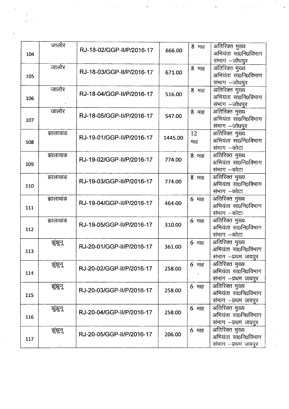| 104 | जालोर   | RJ-18-02/GGP-II/P/2016-17 | 666.00  | 8 माह     | अतिरिक्त मुख्य<br>अभियंता सा0नि0विभाग<br>संभाग –जोधपुर       |
|-----|---------|---------------------------|---------|-----------|--------------------------------------------------------------|
| 105 | जालोर   | RJ-18-03/GGP-II/P/2016-17 | 671.00  | 8 माह     | अतिरिक्त मुख्य<br>अभियंता सा0नि0विभाग<br>संभाग –जोधपुर       |
| 106 | जालोर   | RJ-18-04/GGP-II/P/2016-17 | 516.00  | 8 माह     | अतिरिक्त मुख्य<br>अभियंता सा0नि0विभाग<br>संभाग –जोधपुर       |
| 107 | जालोर   | RJ-18-05/GGP-II/P/2016-17 | 547.00  | 8 माह     | अतिरिक्त मुख्य<br>अभियंता सा0नि0विभाग<br>संभाग -जोधपुर       |
| 108 | झालावाड | RJ-19-01/GGP-II/P/2016-17 | 1445.00 | 12<br>माह | अतिरिक्त मुख्य<br>अभियंता सा0नि0विभाग<br>संभाग –कोटा         |
| 109 | झालावाड | RJ-19-02/GGP-II/P/2016-17 | 774.00  | 8 माह     | अतिरिक्त मुख्य<br>अभियंता सा0नि0विभाग<br>संभाग —कोटा         |
| 110 | झालावाड | RJ-19-03/GGP-II/P/2016-17 | 774.00  | 8 माह     | अतिरिक्त मुख्य<br>अभियंता सा0नि0विभाग<br>संभाग –कोटा         |
| 111 | झालावाड | RJ-19-04/GGP-II/P/2016-17 | 464.00  | $6$ माह   | अतिरिक्त मुख्य<br>अभियंता सा0नि0विभाग<br>संभाग —कोटा         |
| 112 | झालावाड | RJ-19-05/GGP-II/P/2016-17 | 310.00  | 6 माह     | अतिरिक्त मुख्य<br>अभियंता सा0नि0विभाग<br>संभाग –कोटा         |
| 113 | झुझुन्  | RJ-20-01/GGP-II/P/2016-17 | 361.00  | $6$ माह   | अतिरिक्त मुख्य<br>अभियंता सा0नि0विभाग<br>संभाग -प्रथम जयपुर  |
| 114 | झुझुनू  | RJ-20-02/GGP-II/P/2016-17 | 258.00  | $6$ माह   | अतिरिक्त मुख्य<br>अभियंता सा0नि0विभाग<br>संभाग -प्रथम जयपुर  |
| 115 | झुंझुन् | RJ-20-03/GGP-II/P/2016-17 | 258.00  | 6 माह     | अतिरिक्त मुख्य<br>अभियंता सा0नि0विभाग<br>संभाग - प्रथम जयपुर |
| 116 | झुझुन्  | RJ-20-04/GGP-II/P/2016-17 | 258.00  | $6$ माह   | अतिरिक्त मुख्य<br>अभियंता सा0नि0विभाग<br>संभाग –प्रथम जयपुर  |
| 117 | झुझुन्  | RJ-20-05/GGP-II/P/2016-17 | 206.00  | 6 माह     | अतिरिक्त मुख्य<br>अभियंता सा0नि0विभाग<br>संभाग –प्रथम जयपुर  |

 $\frac{1}{2}$ 

 $\hat{\boldsymbol{\theta}}$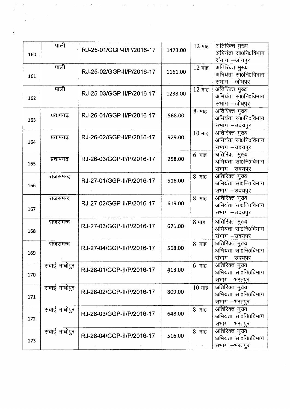| 160 | पाली         | RJ-25-01/GGP-II/P/2016-17 | 1473.00 | 12 माह    | अतिरिक्त मुख्य<br>अभियंता सा0नि0विभाग<br>संभाग -जोधपुर |
|-----|--------------|---------------------------|---------|-----------|--------------------------------------------------------|
| 161 | पाली         | RJ-25-02/GGP-II/P/2016-17 | 1161.00 | 12 माह    | अतिरिक्त मुख्य<br>अभियंता सा0नि0विभाग<br>संभाग -जोधपुर |
| 162 | पाली         | RJ-25-03/GGP-II/P/2016-17 | 1238.00 | 12 माह    | अतिरिक्त मुख्य<br>अभियंता सा0नि0विभाग<br>संभाग -जोधपुर |
| 163 | प्रतापगढ़    | RJ-26-01/GGP-II/P/2016-17 | 568.00  | $8 - 415$ | अतिरिक्त मुख्य<br>अभियंता सा0नि0विभाग<br>संभाग –उदयपुर |
| 164 | प्रतापगढ     | RJ-26-02/GGP-II/P/2016-17 | 929.00  | 10 माह    | अतिरिक्त मुख्य<br>अभियंता सा0नि0विभाग<br>संभाग -उदयपुर |
| 165 | प्रतापगढ़    | RJ-26-03/GGP-II/P/2016-17 | 258.00  | 6 माह     | अतिरिक्त मुख्य<br>अभियंता सा0नि0विभाग<br>संभाग -उदयपुर |
| 166 | राजसमन्द     | RJ-27-01/GGP-II/P/2016-17 | 516.00  | 8 माह     | अतिरिक्त मुख्य<br>अभियंता सा0नि0विभाग<br>संभाग -उदयपुर |
| 167 | राजसमन्द     | RJ-27-02/GGP-II/P/2016-17 | 619.00  | 8 माह     | अतिरिक्त मुख्य<br>अभियंता सा0नि0विभाग<br>संभाग -उदयपुर |
| 168 | राजसमन्द     | RJ-27-03/GGP-II/P/2016-17 | 671.00  | 8 माह     | अतिरिक्त मुख्य<br>अभियंता सा0नि0विभाग<br>संभाग -उदयपुर |
| 169 | राजसमन्द     | RJ-27-04/GGP-II/P/2016-17 | 568.00  | 8 माह     | अतिरिक्त मुख्य<br>अभियंता सा0नि0विभाग<br>संभाग –उदयपुर |
| 170 | सवाई माधोपुर | RJ-28-01/GGP-II/P/2016-17 | 413.00  | $6$ माह   | अतिरिक्त मुख्य<br>अभियंता सा0नि0विभाग<br>संभाग -भरतपुर |
| 171 | सवाई माधोपुर | RJ-28-02/GGP-II/P/2016-17 | 809.00  | 10 माह    | अतिरिक्त मुख्य<br>अभियंता सा0नि0विभाग<br>संभाग –भरतपुर |
| 172 | सवाई माधोपुर | RJ-28-03/GGP-II/P/2016-17 | 648.00  | 8 माह     | अतिरिक्त मुख्य<br>अभियंता सा0नि0विभाग<br>संभाग –भरतपुर |
| 173 | सवाई माधोपुर | RJ-28-04/GGP-II/P/2016-17 | 516.00  | 8 माह     | अतिरिक्त मुख्य<br>अभियंता सा0नि0विभाग<br>संभाग -भरतपुर |

 $\mathbf{C}$ 

 $\label{eq:2.1} \frac{1}{\sqrt{2}}\int_{\mathbb{R}^3}\frac{1}{\sqrt{2}}\left(\frac{1}{\sqrt{2}}\right)^2\frac{1}{\sqrt{2}}\left(\frac{1}{\sqrt{2}}\right)^2\frac{1}{\sqrt{2}}\left(\frac{1}{\sqrt{2}}\right)^2\frac{1}{\sqrt{2}}\left(\frac{1}{\sqrt{2}}\right)^2.$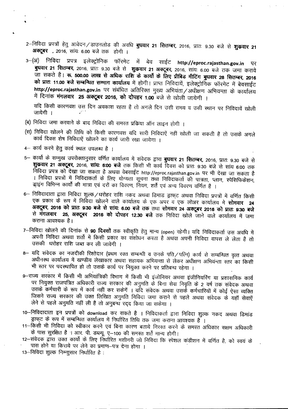- 2–निविदा प्रपत्रों हेतु आवेदन ⁄ डाउनलोड की अवधि **बुधवार 21 सितम्बर,** 2016, प्रातः 9.30 बजे से **शुक्रवार 21** अक्टूबर , 2016, सांयः 6.00 बजे तक होगी ।
- 3–(अ) निविदा प्रपत्र इलेक्ट्रोनिक फॉरमेट में बेव साईट http://eproc.rajasthan.gov.in पर **• बुधवार 21 सितम्बर,** 2016, प्रातः 9.30 बजे से **शुक्रवार 21 अक्टूबर,** 2016, सांयः 6.00 बजे तक जमा कराये \1fT <sup>~</sup> <sup>~</sup> I ~. **500.00 ~ ~ ~ Xlftr c5 ~** c5 ~ ~ ~ ~ **28** RtC1Jit~, **2016 को प्रातः 11.00 बजे सम्बन्धित सम्माग कार्यालय** में होगी। प्राप्त निविदायें, इलेक्ट्रोनिक फॉरमेट में बेवसाईट http://eproc.rajasthan.gov.in पर संबंधित अतिरिक्त मुख्य अभियंता / अधीक्षण अभियन्ता के कार्यालय  $\dot{P}$  दिनांक **मंगलवार 25 अक्टूबर 2016, को दोपहर 1.00** बजे से खोली जायेगी ।

यदि किसी कारणवश उस दिन अवकाश रहता है तो अगले दिन उसी समय व उसी स्थान पर निविदायें खोली<br>जायेगी । जायेगी ।

- (ब) निविदा जमा करवाने के बाद निविदा की समस्त प्रकिया ऑन लाइन होगी ।
- (स) निविदा खोलने की तिथि को किसी कारणवश यदि सारी निविदाएें नहीं खोली जा सकती है तो उसके अगले कार्य दिवस शेष निविदाऐं खोलने का कार्य जारी रखा जायेगा ।
- 4- कार्य करने हेतु कार्य स्थल उपलब्ध है ।
- 5– कार्यों के सम्मुख उपरोक्तानुसार वर्णित कार्यालय में संवेदक द्वारा **बुधवार 21 सितम्बर,** 2016, प्रातः 9.30 बजे से **शुकवार 21 अक्टूबर,** 2016, सांयः 6:00 बजे तक किसी भी कार्य दिवस को प्रातः 9:30 बजे से सांय 6:00 तक निविदा प्रपत्र को देखा जा सकता है अथवा वेबसाईट http://eproc.rajasthan.gov.in पर भी देखा जा सकता है । निविदा प्रपत्रों में निविदाकर्ता के लिए योग्यता सूचना तथा निविदाकर्ता की पात्रता, प्लान, स्पेसिफिकेशन, इ।इंग विभिन्न कार्यों की मात्रा एवं दरों का विवरण, नियम, शर्तें एवं अन्य विवरण वर्णित है ।
- 6- निविदादाता द्वारा निविदा शुल्क⁄धरोहर राशि नकद अथवा डिमाड ड्राफ्ट अथवा निविदा प्रपत्रों में वर्णित किसी एक प्रकार के रूप में निर्विदा खोलने वाले कार्यालय के एक अपर व एक लोअर कार्यालय में **सोमवार 24 ~, 2016 q;)- 1ffif. 9:30 ~ ~** "'tfTlJ: **6.00 ~** (fq) d"~ **fftS1QI'<24** 31ifti\CIf~ **2016 q;)- 1Il(f: 9:30 ~** <sup>~</sup> \*I(Ofql~ **25, <sup>~</sup> <sup>2016</sup> q;)- <sup>~</sup> 12.30 if\;)** (fQ) f.ifcm ~ \JfR ~ Cf>llIfC'lli if \illIT कराना आवश्यक है।
- 7–निविदा खोलने की दिनांक से 90 दिवसों तक स्वीकृति हेतु मान्य (open) रहेगी। यदि निविदाकर्ता उस अवधि में अपनी निविदा अथवा शर्तो में किसी प्रकार का संशोधन करता है अथवा अपनी निविदा वापस ले लेता है तो उसकी धरोहर राशि जब्त कर ली जावेगी ।
- 8– यदि संवेदक का नजदीकी रिश्तेदार (प्रथम रक्त सम्बन्धी व उनके पति/पत्नि) कार्य से सम्बन्धित वृत्त अथवा अधीनस्थ कार्यालय में खण्डीय लेखाकार अथवा सहायक अभियन्ता से लेकर अधीक्षण अभियन्ता स्तर का किसी भी स्तर पर पदस्थापित हो तो उसके कार्य पर नियुक्त करने पर प्रतिबन्ध रहेगा ।
- 9-राज्य सरकार में किसी भी अभियांत्रिकी विभाग में किसी भी इंजोनियर अथवा इंजीनियरिंग या प्रशासनिक कार्य पर नियुक्त राजपत्रित अधिकारी राज्य सरकार की अनुमति के बिना सेवा निवृति के 2 वर्ष तक संवेदक अथवा उसके कर्मचारी के रूप में कार्य नहीं कर सकेगें । याँदे संवेदक अथवा उसके कर्मचारियों में कोई ऐसा व्यक्ति जिसने राज्य सरकार की उक्त लिखित अनुमति निविदा जमा कराने से पहले अथवा संवेदक के यहाँ सेवाऐं लेने से पहले अनुमति नहीं ली है तो अनुबन्ध रदद किया जा सकेगा ।
- 10-निविदादाता इन प्रपत्रों को download कर सकते है । निविदाकर्ता द्वारा निविदा शुल्क नकद अथवा डिमांड ङ्गाफ्*ट के रूप* में सम्बन्धित कार्यालय में निर्धारित तिथि तक जमा कराना आवश्यक है ।
- 11- किसी भी निविदा को स्वीकार करने एवं बिना कारण बताये निरस्त करने के समस्त अधिकार सक्षम अधिकारी *के* पास सुरक्षित है । आर. पी. डब्ल्यू. ए-100 की समस्त शर्ते मान्य होगी।
- 12-संवेदक द्वारा उक्त कार्यो के लिए निर्धारित मशीनरी जो निविदा कि स्पेशल कंडीशन में वर्णित है, को स्वयं के पास होने या किराये पर लेने का प्रमाण-पत्र देना होगा ।
- $13$ --निविदा शुल्क निम्नाुसार निर्धारित है: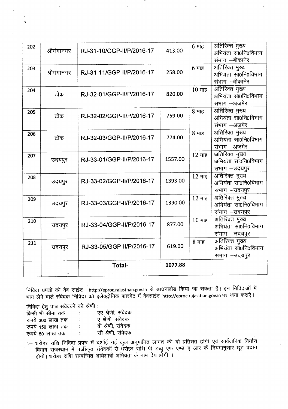| 202 | श्रीगंगानगर | RJ-31-10/GGP-II/P/2016-17 | 413.00  | $6$ माह | अतिरिक्त मुख्य<br>अभियंता सा0नि0विभाग<br>संभाग —बीकानेर |
|-----|-------------|---------------------------|---------|---------|---------------------------------------------------------|
| 203 | श्रीगंगानगर | RJ-31-11/GGP-II/P/2016-17 | 258.00  | $6$ माह | अतिरिक्त मुख्य<br>अभियंता सा0नि0विभाग<br>संभाग –बीकानेर |
| 204 | टोंक        | RJ-32-01/GGP-II/P/2016-17 | 820.00  | 10 माह  | अतिरिक्त मुख्य<br>अभियंता सा0नि0विभाग<br>संभाग -अजमेर   |
| 205 | टोंक        | RJ-32-02/GGP-II/P/2016-17 | 759.00  | 8 माह   | अतिरिक्त मुख्य<br>अभियंता सा0नि0विभाग<br>संभाग –अजमेर   |
| 206 | टोंक        | RJ-32-03/GGP-II/P/2016-17 | 774.00  | $8$ माह | अतिरिक्त मुख्य<br>अभियंता सा0नि0विभाग<br>संभाग -अजमेर   |
| 207 | उदयपुर      | RJ-33-01/GGP-II/P/2016-17 | 1557.00 | 12 माह  | अतिरिक्त मुख्य<br>अभियंता सा0नि0विभाग<br>संभाग -उदयपुर  |
| 208 | उदयपुर      | RJ-33-02/GGP-II/P/2016-17 | 1393.00 | 12 माह  | अतिरिक्त मुख्य<br>अभियंता सा0नि0विभाग<br>संभाग - उदयपुर |
| 209 | उदयपुर      | RJ-33-03/GGP-II/P/2016-17 | 1390.00 | 12 माह  | अतिरिक्त मुख्य<br>अभियंता सा0नि0विभाग<br>संभाग -उदयपुर  |
| 210 | उदयपुर      | RJ-33-04/GGP-II/P/2016-17 | 877.00  | 10 माह  | अतिरिक्त मुख्य<br>अभियंता सा0नि0विभाग<br>संभाग –उदयपुर  |
| 211 | उदयपुर      | RJ-33-05/GGP-II/P/2016-17 | 619.00  | 8 माह   | अतिरिक्त मुख्य<br>अभियंता सा0नि0विभाग<br>संभाग –उदयपुर  |
|     |             | <b>Total-</b>             | 1077.88 |         |                                                         |

.<br>निविदा प्रपत्रों को वेब साईट http://eproc.rajasthan.gov.in से डाउनलोड किया जा सकता है। इन निविदाओं मे भाग लेने वाले संवेदक निविदा को इलेक्ट्रोनिक फारमेट में वेबसाईट http://eproc.rajasthan.gov.in पर जमा केराएं।

निविदा हेतु पात्र संवेदको की श्रेणी :

| किसी भी सीमा तक  | ÷  | एए श्रेणी, संवेदक |
|------------------|----|-------------------|
| रूपये 300 लाख तक | ÷  | ए श्रेणी, संवेदक  |
| रूपये 150 लाख तक | ÷  | बी श्रेणी, संवेदक |
| रूपये 50 लाख तक  | ÷. | सी श्रेणी, संवेदक |

1– धरोहर राशि निविदा प्रपत्र में दर्शाई गई कुल अनुमानित लागत की दो प्रतिशत होगी एवं सार्वजनिक निर्माण , and a found worked to the community of the community of the community of the child of the community of the co होगी। धरोहर राशि सम्बन्धित अधिशार्षी अभियता के नाम दय होगा ।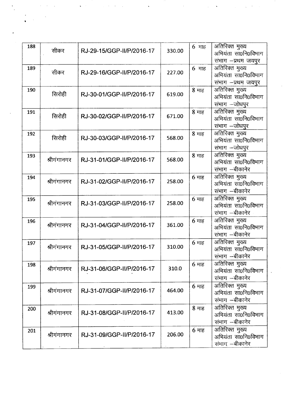| 188 | सीकर        | RJ-29-15/GGP-II/P/2016-17 | 330.00 | 6 माह         | अतिरिक्त मुख्य<br>अभियंता सा0नि0विभाग<br>संभाग -प्रथम जयपुर |
|-----|-------------|---------------------------|--------|---------------|-------------------------------------------------------------|
| 189 | सीकर        | RJ-29-16/GGP-II/P/2016-17 | 227.00 | $6$ माह       | अतिरिक्त मुख्य<br>अभियंता सा0नि0विभाग<br>संभाग –प्रथम जयपुर |
| 190 | सिरोही      | RJ-30-01/GGP-II/P/2016-17 | 619.00 | 8 माह         | अतिरिक्त मुख्य<br>अभियंता सा0नि0विभाग<br>संभाग –जोधपुर      |
| 191 | सिरोही      | RJ-30-02/GGP-II/P/2016-17 | 671.00 | 8 माह         | अतिरिक्त मुख्य<br>अभियंता सा0नि0विभाग<br>संभाग —जोधपुर      |
| 192 | सिरोही      | RJ-30-03/GGP-II/P/2016-17 | 568.00 | $8$ माह       | अतिरिक्त मुख्य<br>अभियंता सा0नि0विभाग<br>संभाग -जोधपुर      |
| 193 | श्रीगंगानगर | RJ-31-01/GGP-II/P/2016-17 | 568.00 | 8 माह         | अतिरिक्त मुख्य<br>अभियंता सा0नि0विभाग<br>संभाग –बीकानेर     |
| 194 | श्रीगंगानगर | RJ-31-02/GGP-II/P/2016-17 | 258.00 | $6$ माह       | अतिरिक्त मुख्य<br>अभियंता सा0नि0विभाग<br>संभाग –बीकानेर     |
| 195 | श्रीगंगानगर | RJ-31-03/GGP-II/P/2016-17 | 258.00 | $6$ माह       | अतिरिक्त मुख्य<br>अभियंता सा0नि0विभाग<br>संभाग –बीकानेर     |
| 196 | श्रीगंगानगर | RJ-31-04/GGP-II/P/2016-17 | 361.00 | $6$ माह       | अतिरिक्त मुख्य<br>अभियंता सा0नि0विभाग<br>संभाग –बीकानेर     |
| 197 | श्रीगंगानगर | RJ-31-05/GGP-II/P/2016-17 | 310.00 | $6$ माह       | अतिरिक्त मुख्य<br>अभियंता सा0नि0विभाग<br>संभाग –बीकानेर     |
| 198 | श्रीगंगानगर | RJ-31-06/GGP-II/P/2016-17 | 310.0  | $6$ माह       | अतिरिक्त मुख्य<br>अभियंता सा0नि0विभाग<br>संभाग —बीकानेर     |
| 199 | श्रीगंगानगर | RJ-31-07/GGP-II/P/2016-17 | 464.00 | $6$ माह       | अतिरिक्त मुख्य<br>अभियंता सा0नि0विभाग<br>संभाग –बीकानेर     |
| 200 | श्रीगंगानगर | RJ-31-08/GGP-II/P/2016-17 | 413.00 | 8 माह         | अतिरिक्त मुख्य<br>अभियंता सा0नि0विभाग<br>संभाग –बीकानेर     |
| 201 | श्रीगंगानगर | RJ-31-09/GGP-II/P/2016-17 | 206.00 | $6 \text{ m}$ | अतिरिक्त मुख्य<br>अभियंता सा0नि0विभाग<br>संभाग –बीकानेर     |

 $\frac{1}{\sqrt{2}}$ 

 $\mathbf{r}^{\parallel}$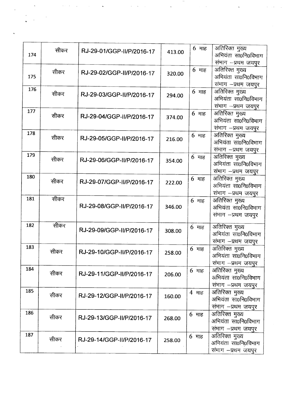| 174 | सीकर | RJ-29-01/GGP-II/P/2016-17 | 413.00 | $6$ माह | अतिरिक्त मुख्य<br>अभियंता सा0नि0विभाग<br>संभाग -प्रथम जयपुर      |
|-----|------|---------------------------|--------|---------|------------------------------------------------------------------|
| 175 | सीकर | RJ-29-02/GGP-II/P/2016-17 | 320.00 | $6$ माह | अतिरिक्त मुख्य<br>अभियंता सा0नि0विभाग<br>संभाग -प्रथम जयपुर      |
| 176 | सीकर | RJ-29-03/GGP-II/P/2016-17 | 294.00 | $6$ माह | अतिरिक्त मुख्य<br>अभियंता सा0नि0विभाग<br>संभाग -प्रथम जयपुर      |
| 177 | सीकर | RJ-29-04/GGP-II/P/2016-17 | 374.00 | $6$ माह | अतिरिक्त मुख्य<br>अभियंता सा0नि0विभाग<br>संभाग -प्रथम जयपुर      |
| 178 | सीकर | RJ-29-05/GGP-II/P/2016-17 | 216.00 | $6$ माह | अतिरिक्त मुख्य<br>अभियंता सा0नि0विभाग<br>संभाग -प्रथम जयपुर      |
| 179 | सीकर | RJ-29-06/GGP-II/P/2016-17 | 354.00 | $6$ माह | अतिरिक्त मुख्य<br>अभियंता सा0नि0विभाग<br>संभाग -प्रथम जयपुर      |
| 180 | सीकर | RJ-29-07/GGP-II/P/2016-17 | 222.00 | $6$ माह | अतिरिक्त मुख्य<br>अभियंता सा0नि0विभाग<br>संभाग –प्रथम जयपुर      |
| 181 | सीकर | RJ-29-08/GGP-II/P/2016-17 | 346.00 | $6$ माह | अतिरिक्त मुख्य<br>अभियंता सा0नि0विभाग<br>संभाग -प्रथम जयपुर      |
| 182 | सीकर | RJ-29-09/GGP-II/P/2016-17 | 308.00 | $6$ माह | अतिरिक्त मुख्य<br>अभियंता सा0नि0विभाग<br>संभाग -प्रथम जयपुर      |
| 183 | सीकर | RJ-29-10/GGP-II/P/2016-17 | 258.00 | $6$ माह | .<br>अतिरिक्त मुख्य<br>अभियंता सा0नि0विभाग<br>संभाग –प्रथम जयपुर |
| 184 | सीकर | RJ-29-11/GGP-II/P/2016-17 | 206.00 | 6 माह   | अतिरिक्त मुख्य<br>अभियंता सा0नि0विभाग<br>संभाग -प्रथम जयपुर      |
| 185 | सीकर | RJ-29-12/GGP-II/P/2016-17 | 160.00 | 4 माह   | अतिरिक्त मुख्य<br>अभियंता सा0नि0विभाग<br>संभाग –प्रथम जयपुर      |
| 186 | सीकर | RJ-29-13/GGP-II/P/2016-17 | 268.00 | $6$ माह | अतिरिक्त मुख्य<br>अभियंता सा0नि0विभाग<br>संभाग -प्रथम जयपुर      |
| 187 | सीकर | RJ-29-14/GGP-II/P/2016-17 | 258.00 | $6$ माह | अतिरिक्त मुख्य<br>अभियंता सा0नि०विभाग<br>संभाग -प्रथम जयपुर      |

 $\frac{1}{\sqrt{2}}$  ,  $\frac{1}{\sqrt{2}}$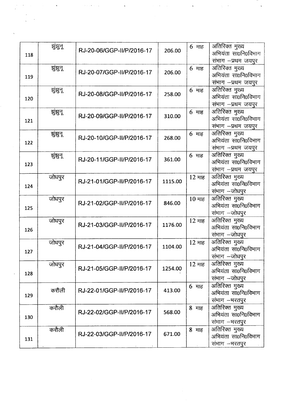| 118 | झुंझुन्  | RJ-20-06/GGP-II/P/2016-17 | 206.00  | $6$ माह         | अतिरिक्त मुख्य<br>अभियंता सा0नि0विभाग<br>संभाग -प्रथम जयपुर |
|-----|----------|---------------------------|---------|-----------------|-------------------------------------------------------------|
| 119 | झुझुन्   | RJ-20-07/GGP-II/P/2016-17 | 206.00  | $6$ माह         | अतिरिक्त मुख्य<br>अभियंता सा0नि0विभाग<br>संभाग –प्रथम जयपुर |
| 120 | झुंझुन्  | RJ-20-08/GGP-II/P/2016-17 | 258.00  | 6 माह           | अतिरिक्त मुख्य<br>अभियंता सा0नि0विभाग<br>संभाग -प्रथम जयपुर |
| 121 | झुंझुन्  | RJ-20-09/GGP-II/P/2016-17 | 310.00  | $6$ माह         | अतिरिक्त मुख्य<br>अभियंता सा0नि0विभाग<br>संभाग -प्रथम जयपुर |
| 122 | ञ्जुझुन् | RJ-20-10/GGP-II/P/2016-17 | 268.00  | $6$ माह         | अतिरिक्त मुख्य<br>अभियंता सा0नि0विभाग<br>संभाग -प्रथम जयपुर |
| 123 | झुंझुन्  | RJ-20-11/GGP-II/P/2016-17 | 361.00  | $6$ माह         | अतिरिक्त मुख्य<br>अभियंता सा0नि0विभाग<br>संभाग -प्रथम जयपुर |
| 124 | जोधपुर   | RJ-21-01/GGP-II/P/2016-17 | 1115.00 | 12 माह          | अतिरिक्त मुख्य<br>अभियंता सा0नि0विभाग<br>संभाग –जोधपुर      |
| 125 | जोधपुर   | RJ-21-02/GGP-II/P/2016-17 | 846.00  | 10 माह          | अतिरिक्त मुख्य<br>अभियंता सा0नि0विभाग<br>संभाग -जोधपुर      |
| 126 | जोधपुर   | RJ-21-03/GGP-II/P/2016-17 | 1176.00 | 12 माह          | अतिरिक्त मुख्य<br>अभियंता सा0नि0विभाग<br>संभाग -जोधपुर      |
| 127 | जोधपुर   | RJ-21-04/GGP-II/P/2016-17 | 1104.00 | 12 माह          | अतिरिक्त मुख्य<br>अभियंता सा0नि0विभाग<br>संभाग —जोधपुर      |
| 128 | जोधपुर   | RJ-21-05/GGP-II/P/2016-17 | 1254.00 | 12 माह          | अतिरिक्त मुख्य<br>अभियंता सा0नि0विभाग<br>संभाग -जोधपुर      |
| 129 | करौली    | RJ-22-01/GGP-II/P/2016-17 | 413.00  | $6 \text{ H}$ ह | अतिरिक्त मुख्य<br>अभियंता सा0नि0विभाग<br>संभाग -भरतपुर      |
| 130 | करौली    | RJ-22-02/GGP-II/P/2016-17 | 568.00  | 8 माह           | अतिरिक्त मुख्य<br>अभियंता सा0नि0विभाग<br>संभाग -भरतपुर      |
| 131 | करौली    | RJ-22-03/GGP-II/P/2016-17 | 671.00  | 8 माह           | अतिरिक्त मुख्य<br>अभियंता सा0नि0विभाग<br>संभाग –भरतपुर      |

 $\frac{1}{\sqrt{2}}$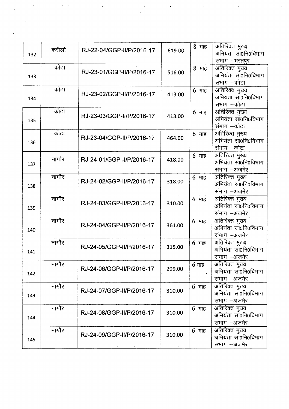| 132 | करौली | RJ-22-04/GGP-II/P/2016-17 | 619.00 | 8 माह           | अतिरिक्त मुख्य<br>अभियंता सा0नि0विभाग<br>संभाग -भरतपुर |
|-----|-------|---------------------------|--------|-----------------|--------------------------------------------------------|
| 133 | कोटा  | RJ-23-01/GGP-II/P/2016-17 | 516.00 | 8 माह           | अतिरिक्त मुख्य<br>अभियंता सा0नि0विभाग<br>संभाग —कोटा   |
| 134 | कोटा  | RJ-23-02/GGP-II/P/2016-17 | 413.00 | 6 माह           | अतिरिक्त मुख्य<br>अभियंता सा0नि0विभाग<br>संभाग –कोटा   |
| 135 | कोटा  | RJ-23-03/GGP-II/P/2016-17 | 413.00 | 6 माह           | अतिरिक्त मुख्य<br>अभियंता सा0नि0विभाग<br>संभाग –कोटा   |
| 136 | कोटा  | RJ-23-04/GGP-II/P/2016-17 | 464.00 | $6$ माह         | अतिरिक्त मुख्य<br>अभियंता सा0नि0विभाग<br>संभाग –कोटा   |
| 137 | नागौर | RJ-24-01/GGP-II/P/2016-17 | 418.00 | 6 माह           | अतिरिक्त मुख्य<br>अभियंता सा0नि0विभाग<br>संभाग - अजमेर |
| 138 | नागौर | RJ-24-02/GGP-II/P/2016-17 | 318.00 | $6$ माह         | अतिरिक्त मुख्य<br>अभियंता सा0नि0विभाग<br>संभाग -अजमेर  |
| 139 | नागौर | RJ-24-03/GGP-II/P/2016-17 | 310.00 | $6$ माह         | अतिरिक्त मुख्य<br>अभियंता सा0नि0विभाग<br>संभाग -अजमेर  |
| 140 | नागौर | RJ-24-04/GGP-II/P/2016-17 | 361.00 | $6$ माह         | अतिरिक्त मुख्य<br>अभियंता सा0नि0विभाग<br>संभाग -अजमेर  |
| 141 | नागौर | RJ-24-05/GGP-II/P/2016-17 | 315.00 | 6 माह           | अतिरिक्त मुख्य<br>अभियंता सा0नि0विभाग<br>संभाग –अजमेर  |
| 142 | नागौर | RJ-24-06/GGP-II/P/2016-17 | 299.00 | $6$ माह         | अतिरिक्त मुख्य<br>अभियंता सा0नि0विभाग<br>संभाग –अजमेर  |
| 143 | नागौर | RJ-24-07/GGP-II/P/2016-17 | 310.00 | $6 \text{ m}$ ह | अतिरिक्त मुख्य<br>अभियंता सा0नि0विभाग<br>संभाग -अजमेर  |
| 144 | नागौर | RJ-24-08/GGP-II/P/2016-17 | 310.00 | $6$ माह         | अतिरिक्त मुख्य<br>अभियंता सा0नि0विभाग<br>संभाग -अजमेर  |
| 145 | नागौर | RJ-24-09/GGP-II/P/2016-17 | 310.00 | $6$ माह         | अतिरिक्त मुख्य<br>अभियंता सा0नि0विभाग<br>संभाग –अजमेर  |

 $\sqrt{2}$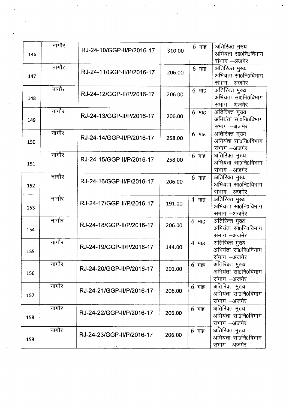|     | नागौर |                           |        |                          |                     |
|-----|-------|---------------------------|--------|--------------------------|---------------------|
|     |       | RJ-24-10/GGP-II/P/2016-17 | 310.00 | $6$ माह                  | अतिरिक्त मुख्य      |
| 146 |       |                           |        |                          | अभियंता सा0नि0विभाग |
|     |       |                           |        |                          | संभाग -अजमेर        |
|     | नागौर |                           |        | $6$ माह                  | अतिरिक्त मुख्य      |
| 147 |       | RJ-24-11/GGP-II/P/2016-17 | 206.00 |                          | अभियंता सा0नि0विभाग |
|     |       |                           |        |                          | संभाग -अजमेर        |
|     | नागौर |                           |        |                          |                     |
|     |       | RJ-24-12/GGP-II/P/2016-17 | 206.00 | $6$ माह                  | अतिरिक्त मुख्य      |
| 148 |       |                           |        |                          | अभियंता सा0नि0विभाग |
|     |       |                           |        |                          | संभाग –अजमेर        |
|     | नागौर | RJ-24-13/GGP-II/P/2016-17 | 206.00 | $6$ माह                  | अतिरिक्त मुख्य      |
| 149 |       |                           |        |                          | अभियंता सा0नि0विभाग |
|     |       |                           |        |                          | संभाग -अजमेर        |
|     | नागौर |                           |        | $6$ माह                  | अतिरिक्त मुख्य      |
| 150 |       | RJ-24-14/GGP-II/P/2016-17 | 258.00 |                          | अभियंता सा0नि0विभाग |
|     |       |                           |        |                          | संभाग -अजमेर        |
|     | नागौर |                           |        | $6 \text{ }\overline{4}$ | अतिरिक्त मुख्य      |
|     |       | RJ-24-15/GGP-II/P/2016-17 | 258.00 |                          | अभियंता सा0नि0विभाग |
| 151 |       |                           |        |                          |                     |
|     |       |                           |        |                          | संभाग -अजमेर        |
|     | नागौर | RJ-24-16/GGP-II/P/2016-17 | 206.00 | $6$ माह                  | अतिरिक्त मुख्य      |
| 152 |       |                           |        |                          | अभियंता सा0नि0विभाग |
|     |       |                           |        |                          | संभाग -अजमेर        |
|     | नागौर |                           |        | 4 माह                    | अतिरिक्त मुख्य      |
| 153 |       | RJ-24-17/GGP-II/P/2016-17 | 191.00 |                          | अभियंता सा0नि0विभाग |
|     |       |                           |        |                          | संभाग -अजमेर        |
|     | नागौर |                           |        | $6$ माह                  | अतिरिक्त मुख्य      |
| 154 |       | RJ-24-18/GGP-II/P/2016-17 | 206.00 |                          | अभियंता सा0नि0विभाग |
|     |       |                           |        |                          | संभाग -अजमेर        |
|     | नागौर |                           |        | 4 माह                    | अतिरिक्त मुख्य      |
|     |       | RJ-24-19/GGP-II/P/2016-17 | 144.00 |                          | अभियंता सा0नि0विभाग |
| 155 |       |                           |        |                          |                     |
|     |       |                           |        |                          | संभाग –अजमेर        |
|     | नागौर | RJ-24-20/GGP-II/P/2016-17 | 201.00 | $6$ माह                  | अतिरिक्त मुख्य      |
| 156 |       |                           |        |                          | अभियंता सा0नि0विभाग |
|     |       |                           |        |                          | संभाग –अजमेर        |
|     | नागौर |                           |        | 6 माह                    | अतिरिक्त मुख्य      |
| 157 |       | RJ-24-21/GGP-II/P/2016-17 | 206.00 |                          | अभियंता सा0नि0विभाग |
|     |       |                           |        |                          | संभाग –अजमेर        |
|     | नागौर |                           |        | $6 \text{ }\overline{4}$ | अतिरिक्त मुख्य      |
|     |       | RJ-24-22/GGP-II/P/2016-17 | 206.00 |                          | अभियंता सा0नि0विभाग |
| 158 |       |                           |        |                          | संभाग -अजमेर        |
|     | नागौर |                           |        |                          |                     |
|     |       | RJ-24-23/GGP-II/P/2016-17 | 206.00 | $6 \text{ }\overline{4}$ | अतिरिक्त मुख्य      |
| 159 |       |                           |        |                          | अभियंता सा0नि0विभाग |
|     |       |                           |        |                          | संभाग –अजमेर        |

 $\mathcal{L}_{\mathcal{L}}$ 

 $\omega$ 

 $\ddot{\phantom{0}}$